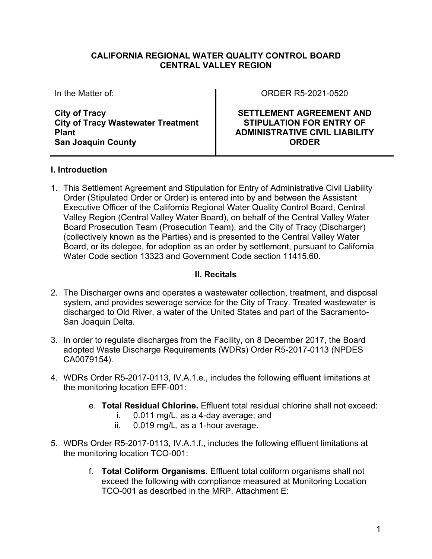#### **CALIFORNIA REGIONAL WATER QUALITY CONTROL BOARD CENTRAL VALLEY REGION**

In the Matter of:

**City of Tracy City of Tracy Wastewater Treatment Plant San Joaquin County**

ORDER R5-2021-0520

**SETTLEMENT AGREEMENT AND STIPULATION FOR ENTRY OF ADMINISTRATIVE CIVIL LIABILITY ORDER**

# **I. Introduction**

1. This Settlement Agreement and Stipulation for Entry of Administrative Civil Liability Order (Stipulated Order or Order) is entered into by and between the Assistant Executive Officer of the California Regional Water Quality Control Board, Central Valley Region (Central Valley Water Board), on behalf of the Central Valley Water Board Prosecution Team (Prosecution Team), and the City of Tracy (Discharger) (collectively known as the Parties) and is presented to the Central Valley Water Board, or its delegee, for adoption as an order by settlement, pursuant to California Water Code section 13323 and Government Code section 11415.60.

## **II. Recitals**

- 2. The Discharger owns and operates a wastewater collection, treatment, and disposal system, and provides sewerage service for the City of Tracy. Treated wastewater is discharged to Old River, a water of the United States and part of the Sacramento-San Joaquin Delta.
- 3. In order to regulate discharges from the Facility, on 8 December 2017, the Board adopted Waste Discharge Requirements (WDRs) Order R5-2017-0113 (NPDES CA0079154).
- 4. WDRs Order R5-2017-0113, IV.A.1.e., includes the following effluent limitations at the monitoring location EFF-001:
	- e. **Total Residual Chlorine.** Effluent total residual chlorine shall not exceed:
		- i. 0.011 mg/L, as a 4-day average; and
		- ii. 0.019 mg/L, as a 1-hour average.
- 5. WDRs Order R5-2017-0113, IV.A.1.f., includes the following effluent limitations at the monitoring location TCO-001:
	- f. **Total Coliform Organisms**. Effluent total coliform organisms shall not exceed the following with compliance measured at Monitoring Location TCO-001 as described in the MRP, Attachment E: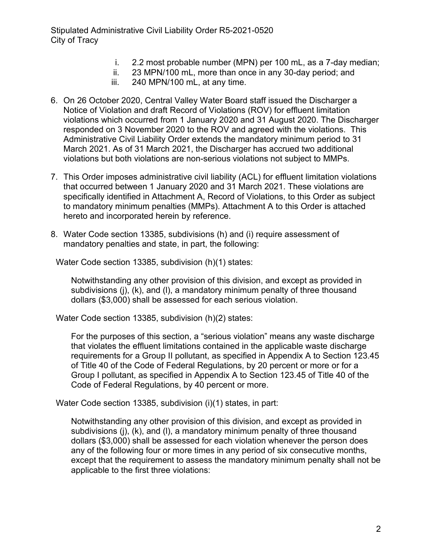Stipulated Administrative Civil Liability Order R5-2021-0520 City of Tracy

- i. 2.2 most probable number (MPN) per 100 mL, as a 7-day median;
- ii. 23 MPN/100 mL, more than once in any 30-day period; and
- iii. 240 MPN/100 mL, at any time.
- 6. On 26 October 2020, Central Valley Water Board staff issued the Discharger a Notice of Violation and draft Record of Violations (ROV) for effluent limitation violations which occurred from 1 January 2020 and 31 August 2020. The Discharger responded on 3 November 2020 to the ROV and agreed with the violations. This Administrative Civil Liability Order extends the mandatory minimum period to 31 March 2021. As of 31 March 2021, the Discharger has accrued two additional violations but both violations are non-serious violations not subject to MMPs.
- 7. This Order imposes administrative civil liability (ACL) for effluent limitation violations that occurred between 1 January 2020 and 31 March 2021. These violations are specifically identified in Attachment A, Record of Violations, to this Order as subject to mandatory minimum penalties (MMPs). Attachment A to this Order is attached hereto and incorporated herein by reference.
- 8. Water Code section 13385, subdivisions (h) and (i) require assessment of mandatory penalties and state, in part, the following:

Water Code section 13385, subdivision (h)(1) states:

Notwithstanding any other provision of this division, and except as provided in subdivisions (j), (k), and (l), a mandatory minimum penalty of three thousand dollars (\$3,000) shall be assessed for each serious violation.

Water Code section 13385, subdivision (h)(2) states:

For the purposes of this section, a "serious violation" means any waste discharge that violates the effluent limitations contained in the applicable waste discharge requirements for a Group II pollutant, as specified in Appendix A to Section 123.45 of Title 40 of the Code of Federal Regulations, by 20 percent or more or for a Group I pollutant, as specified in Appendix A to Section 123.45 of Title 40 of the Code of Federal Regulations, by 40 percent or more.

Water Code section 13385, subdivision (i)(1) states, in part:

Notwithstanding any other provision of this division, and except as provided in subdivisions (j), (k), and (l), a mandatory minimum penalty of three thousand dollars (\$3,000) shall be assessed for each violation whenever the person does any of the following four or more times in any period of six consecutive months, except that the requirement to assess the mandatory minimum penalty shall not be applicable to the first three violations: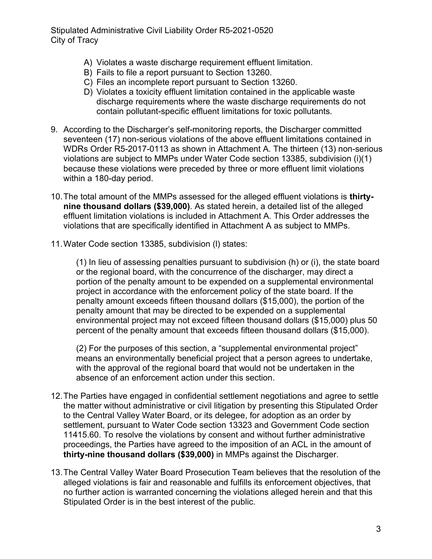- A) Violates a waste discharge requirement effluent limitation.
- B) Fails to file a report pursuant to Section 13260.
- C) Files an incomplete report pursuant to Section 13260.
- D) Violates a toxicity effluent limitation contained in the applicable waste discharge requirements where the waste discharge requirements do not contain pollutant-specific effluent limitations for toxic pollutants.
- 9. According to the Discharger's self-monitoring reports, the Discharger committed seventeen (17) non-serious violations of the above effluent limitations contained in WDRs Order R5-2017-0113 as shown in Attachment A. The thirteen (13) non-serious violations are subject to MMPs under Water Code section 13385, subdivision (i)(1) because these violations were preceded by three or more effluent limit violations within a 180-day period.
- 10.The total amount of the MMPs assessed for the alleged effluent violations is **thirtynine thousand dollars (\$39,000)**. As stated herein, a detailed list of the alleged effluent limitation violations is included in Attachment A. This Order addresses the violations that are specifically identified in Attachment A as subject to MMPs.
- 11.Water Code section 13385, subdivision (l) states:

(1) In lieu of assessing penalties pursuant to subdivision (h) or (i), the state board or the regional board, with the concurrence of the discharger, may direct a portion of the penalty amount to be expended on a supplemental environmental project in accordance with the enforcement policy of the state board. If the penalty amount exceeds fifteen thousand dollars (\$15,000), the portion of the penalty amount that may be directed to be expended on a supplemental environmental project may not exceed fifteen thousand dollars (\$15,000) plus 50 percent of the penalty amount that exceeds fifteen thousand dollars (\$15,000).

(2) For the purposes of this section, a "supplemental environmental project" means an environmentally beneficial project that a person agrees to undertake, with the approval of the regional board that would not be undertaken in the absence of an enforcement action under this section.

- 12.The Parties have engaged in confidential settlement negotiations and agree to settle the matter without administrative or civil litigation by presenting this Stipulated Order to the Central Valley Water Board, or its delegee, for adoption as an order by settlement, pursuant to Water Code section 13323 and Government Code section 11415.60. To resolve the violations by consent and without further administrative proceedings, the Parties have agreed to the imposition of an ACL in the amount of **thirty-nine thousand dollars (\$39,000)** in MMPs against the Discharger.
- 13.The Central Valley Water Board Prosecution Team believes that the resolution of the alleged violations is fair and reasonable and fulfills its enforcement objectives, that no further action is warranted concerning the violations alleged herein and that this Stipulated Order is in the best interest of the public.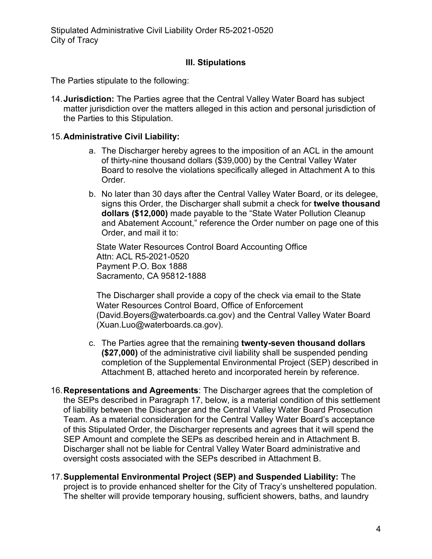# **III. Stipulations**

The Parties stipulate to the following:

14.**Jurisdiction:** The Parties agree that the Central Valley Water Board has subject matter jurisdiction over the matters alleged in this action and personal jurisdiction of the Parties to this Stipulation.

## 15.**Administrative Civil Liability:**

- a. The Discharger hereby agrees to the imposition of an ACL in the amount of thirty-nine thousand dollars (\$39,000) by the Central Valley Water Board to resolve the violations specifically alleged in Attachment A to this Order.
- b. No later than 30 days after the Central Valley Water Board, or its delegee, signs this Order, the Discharger shall submit a check for **twelve thousand dollars (\$12,000)** made payable to the "State Water Pollution Cleanup and Abatement Account," reference the Order number on page one of this Order, and mail it to:

State Water Resources Control Board Accounting Office Attn: ACL R5-2021-0520 Payment P.O. Box 1888 Sacramento, CA 95812-1888

The Discharger shall provide a copy of the check via email to the State Water Resources Control Board, Office of Enforcement (David.Boyers@waterboards.ca.gov) and the Central Valley Water Board (Xuan.Luo@waterboards.ca.gov).

- c. The Parties agree that the remaining **twenty-seven thousand dollars (\$27,000)** of the administrative civil liability shall be suspended pending completion of the Supplemental Environmental Project (SEP) described in Attachment B, attached hereto and incorporated herein by reference.
- 16.**Representations and Agreements**: The Discharger agrees that the completion of the SEPs described in Paragraph 17, below, is a material condition of this settlement of liability between the Discharger and the Central Valley Water Board Prosecution Team. As a material consideration for the Central Valley Water Board's acceptance of this Stipulated Order, the Discharger represents and agrees that it will spend the SEP Amount and complete the SEPs as described herein and in Attachment B. Discharger shall not be liable for Central Valley Water Board administrative and oversight costs associated with the SEPs described in Attachment B.
- 17.**Supplemental Environmental Project (SEP) and Suspended Liability:** The project is to provide enhanced shelter for the City of Tracy's unsheltered population. The shelter will provide temporary housing, sufficient showers, baths, and laundry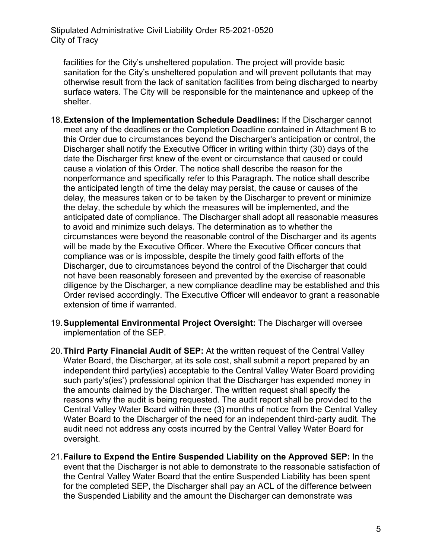facilities for the City's unsheltered population. The project will provide basic sanitation for the City's unsheltered population and will prevent pollutants that may otherwise result from the lack of sanitation facilities from being discharged to nearby surface waters. The City will be responsible for the maintenance and upkeep of the shelter.

- 18.**Extension of the Implementation Schedule Deadlines:** If the Discharger cannot meet any of the deadlines or the Completion Deadline contained in Attachment B to this Order due to circumstances beyond the Discharger's anticipation or control, the Discharger shall notify the Executive Officer in writing within thirty (30) days of the date the Discharger first knew of the event or circumstance that caused or could cause a violation of this Order. The notice shall describe the reason for the nonperformance and specifically refer to this Paragraph. The notice shall describe the anticipated length of time the delay may persist, the cause or causes of the delay, the measures taken or to be taken by the Discharger to prevent or minimize the delay, the schedule by which the measures will be implemented, and the anticipated date of compliance. The Discharger shall adopt all reasonable measures to avoid and minimize such delays. The determination as to whether the circumstances were beyond the reasonable control of the Discharger and its agents will be made by the Executive Officer. Where the Executive Officer concurs that compliance was or is impossible, despite the timely good faith efforts of the Discharger, due to circumstances beyond the control of the Discharger that could not have been reasonably foreseen and prevented by the exercise of reasonable diligence by the Discharger, a new compliance deadline may be established and this Order revised accordingly. The Executive Officer will endeavor to grant a reasonable extension of time if warranted.
- 19.**Supplemental Environmental Project Oversight:** The Discharger will oversee implementation of the SEP.
- 20.**Third Party Financial Audit of SEP:** At the written request of the Central Valley Water Board, the Discharger, at its sole cost, shall submit a report prepared by an independent third party(ies) acceptable to the Central Valley Water Board providing such party's(ies') professional opinion that the Discharger has expended money in the amounts claimed by the Discharger. The written request shall specify the reasons why the audit is being requested. The audit report shall be provided to the Central Valley Water Board within three (3) months of notice from the Central Valley Water Board to the Discharger of the need for an independent third-party audit. The audit need not address any costs incurred by the Central Valley Water Board for oversight.
- 21.**Failure to Expend the Entire Suspended Liability on the Approved SEP:** In the event that the Discharger is not able to demonstrate to the reasonable satisfaction of the Central Valley Water Board that the entire Suspended Liability has been spent for the completed SEP, the Discharger shall pay an ACL of the difference between the Suspended Liability and the amount the Discharger can demonstrate was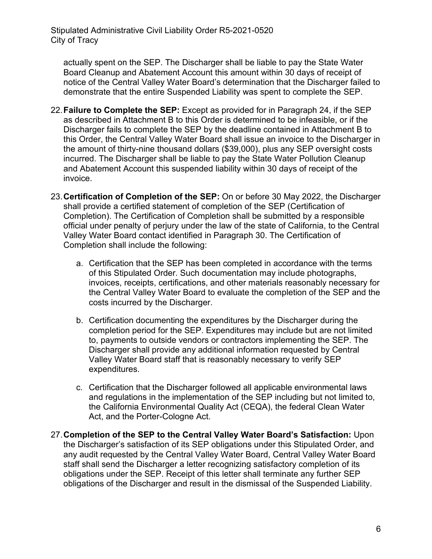actually spent on the SEP. The Discharger shall be liable to pay the State Water Board Cleanup and Abatement Account this amount within 30 days of receipt of notice of the Central Valley Water Board's determination that the Discharger failed to demonstrate that the entire Suspended Liability was spent to complete the SEP.

- 22.**Failure to Complete the SEP:** Except as provided for in Paragraph 24, if the SEP as described in Attachment B to this Order is determined to be infeasible, or if the Discharger fails to complete the SEP by the deadline contained in Attachment B to this Order, the Central Valley Water Board shall issue an invoice to the Discharger in the amount of thirty-nine thousand dollars (\$39,000), plus any SEP oversight costs incurred. The Discharger shall be liable to pay the State Water Pollution Cleanup and Abatement Account this suspended liability within 30 days of receipt of the invoice.
- 23.**Certification of Completion of the SEP:** On or before 30 May 2022, the Discharger shall provide a certified statement of completion of the SEP (Certification of Completion). The Certification of Completion shall be submitted by a responsible official under penalty of perjury under the law of the state of California, to the Central Valley Water Board contact identified in Paragraph 30. The Certification of Completion shall include the following:
	- a. Certification that the SEP has been completed in accordance with the terms of this Stipulated Order. Such documentation may include photographs, invoices, receipts, certifications, and other materials reasonably necessary for the Central Valley Water Board to evaluate the completion of the SEP and the costs incurred by the Discharger.
	- b. Certification documenting the expenditures by the Discharger during the completion period for the SEP. Expenditures may include but are not limited to, payments to outside vendors or contractors implementing the SEP. The Discharger shall provide any additional information requested by Central Valley Water Board staff that is reasonably necessary to verify SEP expenditures.
	- c. Certification that the Discharger followed all applicable environmental laws and regulations in the implementation of the SEP including but not limited to, the California Environmental Quality Act (CEQA), the federal Clean Water Act, and the Porter-Cologne Act.
- 27.**Completion of the SEP to the Central Valley Water Board's Satisfaction:** Upon the Discharger's satisfaction of its SEP obligations under this Stipulated Order, and any audit requested by the Central Valley Water Board, Central Valley Water Board staff shall send the Discharger a letter recognizing satisfactory completion of its obligations under the SEP. Receipt of this letter shall terminate any further SEP obligations of the Discharger and result in the dismissal of the Suspended Liability.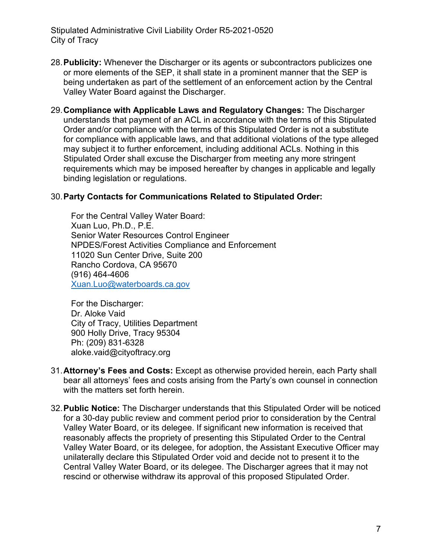Stipulated Administrative Civil Liability Order R5-2021-0520 City of Tracy

- 28.**Publicity:** Whenever the Discharger or its agents or subcontractors publicizes one or more elements of the SEP, it shall state in a prominent manner that the SEP is being undertaken as part of the settlement of an enforcement action by the Central Valley Water Board against the Discharger.
- 29.**Compliance with Applicable Laws and Regulatory Changes:** The Discharger understands that payment of an ACL in accordance with the terms of this Stipulated Order and/or compliance with the terms of this Stipulated Order is not a substitute for compliance with applicable laws, and that additional violations of the type alleged may subject it to further enforcement, including additional ACLs. Nothing in this Stipulated Order shall excuse the Discharger from meeting any more stringent requirements which may be imposed hereafter by changes in applicable and legally binding legislation or regulations.

#### 30.**Party Contacts for Communications Related to Stipulated Order:**

For the Central Valley Water Board: Xuan Luo, Ph.D., P.E. Senior Water Resources Control Engineer NPDES/Forest Activities Compliance and Enforcement 11020 Sun Center Drive, Suite 200 Rancho Cordova, CA 95670 (916) 464-4606 [Xuan.Luo@waterboards.ca.gov](mailto:Xuan.Luo@waterboards.ca.gov)

For the Discharger: Dr. Aloke Vaid City of Tracy, Utilities Department 900 Holly Drive, Tracy 95304 Ph: (209) 831-6328 aloke.vaid@cityoftracy.org

- 31.**Attorney's Fees and Costs:** Except as otherwise provided herein, each Party shall bear all attorneys' fees and costs arising from the Party's own counsel in connection with the matters set forth herein.
- 32.**Public Notice:** The Discharger understands that this Stipulated Order will be noticed for a 30-day public review and comment period prior to consideration by the Central Valley Water Board, or its delegee. If significant new information is received that reasonably affects the propriety of presenting this Stipulated Order to the Central Valley Water Board, or its delegee, for adoption, the Assistant Executive Officer may unilaterally declare this Stipulated Order void and decide not to present it to the Central Valley Water Board, or its delegee. The Discharger agrees that it may not rescind or otherwise withdraw its approval of this proposed Stipulated Order.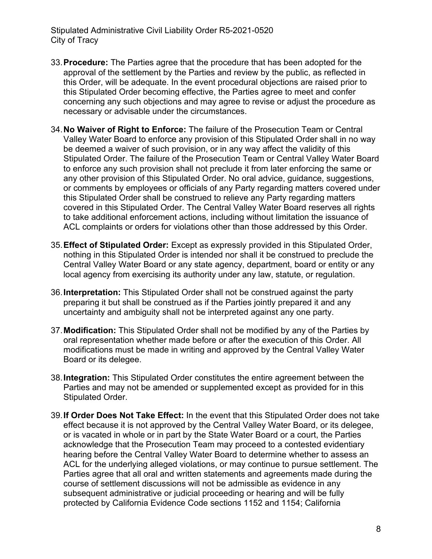Stipulated Administrative Civil Liability Order R5-2021-0520 City of Tracy

- 33.**Procedure:** The Parties agree that the procedure that has been adopted for the approval of the settlement by the Parties and review by the public, as reflected in this Order, will be adequate. In the event procedural objections are raised prior to this Stipulated Order becoming effective, the Parties agree to meet and confer concerning any such objections and may agree to revise or adjust the procedure as necessary or advisable under the circumstances.
- 34.**No Waiver of Right to Enforce:** The failure of the Prosecution Team or Central Valley Water Board to enforce any provision of this Stipulated Order shall in no way be deemed a waiver of such provision, or in any way affect the validity of this Stipulated Order. The failure of the Prosecution Team or Central Valley Water Board to enforce any such provision shall not preclude it from later enforcing the same or any other provision of this Stipulated Order. No oral advice, guidance, suggestions, or comments by employees or officials of any Party regarding matters covered under this Stipulated Order shall be construed to relieve any Party regarding matters covered in this Stipulated Order. The Central Valley Water Board reserves all rights to take additional enforcement actions, including without limitation the issuance of ACL complaints or orders for violations other than those addressed by this Order.
- 35.**Effect of Stipulated Order:** Except as expressly provided in this Stipulated Order, nothing in this Stipulated Order is intended nor shall it be construed to preclude the Central Valley Water Board or any state agency, department, board or entity or any local agency from exercising its authority under any law, statute, or regulation.
- 36.**Interpretation:** This Stipulated Order shall not be construed against the party preparing it but shall be construed as if the Parties jointly prepared it and any uncertainty and ambiguity shall not be interpreted against any one party.
- 37.**Modification:** This Stipulated Order shall not be modified by any of the Parties by oral representation whether made before or after the execution of this Order. All modifications must be made in writing and approved by the Central Valley Water Board or its delegee.
- 38.**Integration:** This Stipulated Order constitutes the entire agreement between the Parties and may not be amended or supplemented except as provided for in this Stipulated Order.
- 39.**If Order Does Not Take Effect:** In the event that this Stipulated Order does not take effect because it is not approved by the Central Valley Water Board, or its delegee, or is vacated in whole or in part by the State Water Board or a court, the Parties acknowledge that the Prosecution Team may proceed to a contested evidentiary hearing before the Central Valley Water Board to determine whether to assess an ACL for the underlying alleged violations, or may continue to pursue settlement. The Parties agree that all oral and written statements and agreements made during the course of settlement discussions will not be admissible as evidence in any subsequent administrative or judicial proceeding or hearing and will be fully protected by California Evidence Code sections 1152 and 1154; California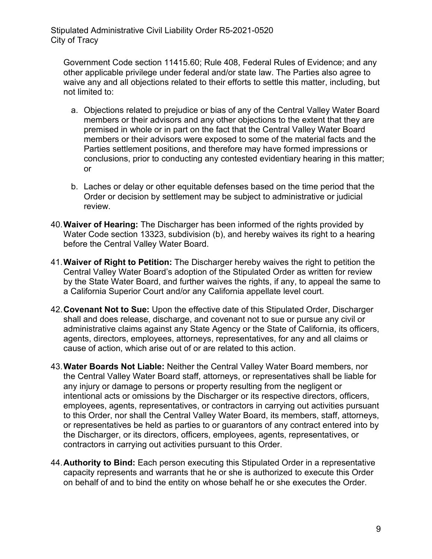Government Code section 11415.60; Rule 408, Federal Rules of Evidence; and any other applicable privilege under federal and/or state law. The Parties also agree to waive any and all objections related to their efforts to settle this matter, including, but not limited to:

- a. Objections related to prejudice or bias of any of the Central Valley Water Board members or their advisors and any other objections to the extent that they are premised in whole or in part on the fact that the Central Valley Water Board members or their advisors were exposed to some of the material facts and the Parties settlement positions, and therefore may have formed impressions or conclusions, prior to conducting any contested evidentiary hearing in this matter; or
- b. Laches or delay or other equitable defenses based on the time period that the Order or decision by settlement may be subject to administrative or judicial review.
- 40.**Waiver of Hearing:** The Discharger has been informed of the rights provided by Water Code section 13323, subdivision (b), and hereby waives its right to a hearing before the Central Valley Water Board.
- 41.**Waiver of Right to Petition:** The Discharger hereby waives the right to petition the Central Valley Water Board's adoption of the Stipulated Order as written for review by the State Water Board, and further waives the rights, if any, to appeal the same to a California Superior Court and/or any California appellate level court.
- 42.**Covenant Not to Sue:** Upon the effective date of this Stipulated Order, Discharger shall and does release, discharge, and covenant not to sue or pursue any civil or administrative claims against any State Agency or the State of California, its officers, agents, directors, employees, attorneys, representatives, for any and all claims or cause of action, which arise out of or are related to this action.
- 43.**Water Boards Not Liable:** Neither the Central Valley Water Board members, nor the Central Valley Water Board staff, attorneys, or representatives shall be liable for any injury or damage to persons or property resulting from the negligent or intentional acts or omissions by the Discharger or its respective directors, officers, employees, agents, representatives, or contractors in carrying out activities pursuant to this Order, nor shall the Central Valley Water Board, its members, staff, attorneys, or representatives be held as parties to or guarantors of any contract entered into by the Discharger, or its directors, officers, employees, agents, representatives, or contractors in carrying out activities pursuant to this Order.
- 44.**Authority to Bind:** Each person executing this Stipulated Order in a representative capacity represents and warrants that he or she is authorized to execute this Order on behalf of and to bind the entity on whose behalf he or she executes the Order.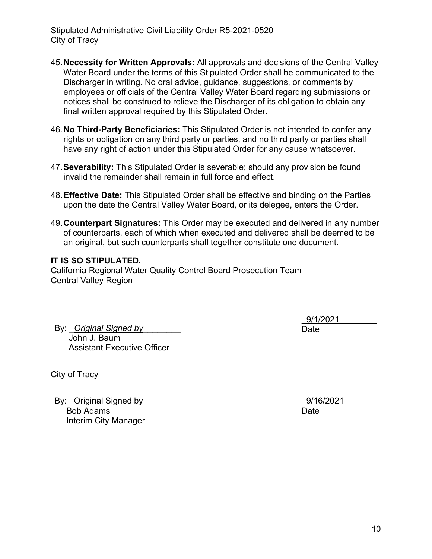- 45.**Necessity for Written Approvals:** All approvals and decisions of the Central Valley Water Board under the terms of this Stipulated Order shall be communicated to the Discharger in writing. No oral advice, guidance, suggestions, or comments by employees or officials of the Central Valley Water Board regarding submissions or notices shall be construed to relieve the Discharger of its obligation to obtain any final written approval required by this Stipulated Order.
- 46.**No Third-Party Beneficiaries:** This Stipulated Order is not intended to confer any rights or obligation on any third party or parties, and no third party or parties shall have any right of action under this Stipulated Order for any cause whatsoever.
- 47.**Severability:** This Stipulated Order is severable; should any provision be found invalid the remainder shall remain in full force and effect.
- 48.**Effective Date:** This Stipulated Order shall be effective and binding on the Parties upon the date the Central Valley Water Board, or its delegee, enters the Order.
- 49.**Counterpart Signatures:** This Order may be executed and delivered in any number of counterparts, each of which when executed and delivered shall be deemed to be an original, but such counterparts shall together constitute one document.

#### **IT IS SO STIPULATED.**

California Regional Water Quality Control Board Prosecution Team Central Valley Region

By: Original Signed by John J. Baum Assistant Executive Officer

\_9/1/2021\_\_\_\_\_\_\_\_ Date

City of Tracy

By: Original Signed by Bob Adams Interim City Manager

\_9/16/2021\_\_\_\_\_\_\_ Date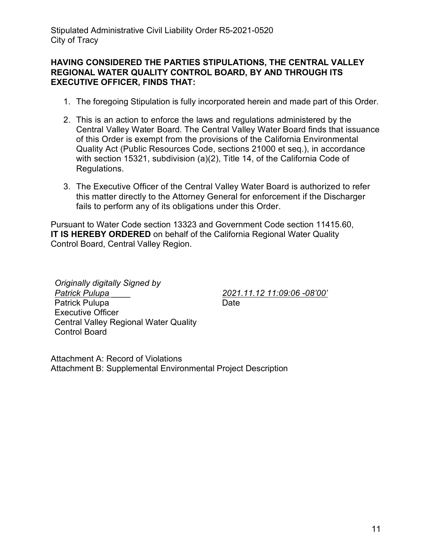## **HAVING CONSIDERED THE PARTIES STIPULATIONS, THE CENTRAL VALLEY REGIONAL WATER QUALITY CONTROL BOARD, BY AND THROUGH ITS EXECUTIVE OFFICER, FINDS THAT:**

- 1. The foregoing Stipulation is fully incorporated herein and made part of this Order.
- 2. This is an action to enforce the laws and regulations administered by the Central Valley Water Board. The Central Valley Water Board finds that issuance of this Order is exempt from the provisions of the California Environmental Quality Act (Public Resources Code, sections 21000 et seq.), in accordance with section 15321, subdivision (a)(2), Title 14, of the California Code of Regulations.
- 3. The Executive Officer of the Central Valley Water Board is authorized to refer this matter directly to the Attorney General for enforcement if the Discharger fails to perform any of its obligations under this Order.

Pursuant to Water Code section 13323 and Government Code section 11415.60, **IT IS HEREBY ORDERED** on behalf of the California Regional Water Quality Control Board, Central Valley Region.

*Originally digitally Signed by Patrick Pulupa* \_\_\_\_ Patrick Pulupa Executive Officer Central Valley Regional Water Quality Control Board

*2021.11.12 11:09:06 -08'00'* Date<sub>b</sub>

Attachment A: Record of Violations Attachment B: Supplemental Environmental Project Description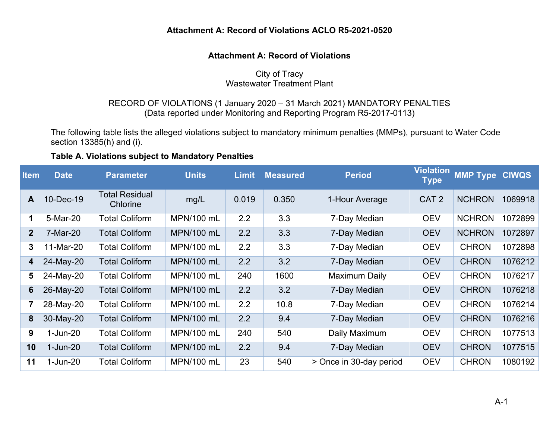# **Attachment A: Record of Violations ACLO R5-2021-0520**

## **Attachment A: Record of Violations**

# City of Tracy

# Wastewater Treatment Plant

## RECORD OF VIOLATIONS (1 January 2020 – 31 March 2021) MANDATORY PENALTIES (Data reported under Monitoring and Reporting Program R5-2017-0113)

The following table lists the alleged violations subject to mandatory minimum penalties (MMPs), pursuant to Water Code section 13385(h) and (i).

## **Table A. Violations subject to Mandatory Penalties**

| <b>Item</b>     | <b>Date</b>    | <b>Parameter</b>                  | <b>Units</b>      | <b>Limit</b> | <b>Measured</b> | <b>Period</b>           | <b>Violation</b><br><b>Type</b> | <b>MMP Type</b> | <b>CIWQS</b> |
|-----------------|----------------|-----------------------------------|-------------------|--------------|-----------------|-------------------------|---------------------------------|-----------------|--------------|
| A               | 10-Dec-19      | <b>Total Residual</b><br>Chlorine | mg/L              | 0.019        | 0.350           | 1-Hour Average          | CAT <sub>2</sub>                | <b>NCHRON</b>   | 1069918      |
| 1               | 5-Mar-20       | <b>Total Coliform</b>             | MPN/100 mL        | 2.2          | 3.3             | 7-Day Median            | <b>OEV</b>                      | <b>NCHRON</b>   | 1072899      |
| $\overline{2}$  | 7-Mar-20       | <b>Total Coliform</b>             | MPN/100 mL        | 2.2          | 3.3             | 7-Day Median            | <b>OEV</b>                      | <b>NCHRON</b>   | 1072897      |
| 3               | 11-Mar-20      | <b>Total Coliform</b>             | MPN/100 mL        | 2.2          | 3.3             | 7-Day Median            | <b>OEV</b>                      | <b>CHRON</b>    | 1072898      |
| 4               | 24-May-20      | <b>Total Coliform</b>             | <b>MPN/100 mL</b> | 2.2          | 3.2             | 7-Day Median            | <b>OEV</b>                      | <b>CHRON</b>    | 1076212      |
| 5               | 24-May-20      | <b>Total Coliform</b>             | MPN/100 mL        | 240          | 1600            | <b>Maximum Daily</b>    | <b>OEV</b>                      | <b>CHRON</b>    | 1076217      |
| $6\phantom{1}6$ | 26-May-20      | <b>Total Coliform</b>             | <b>MPN/100 mL</b> | 2.2          | 3.2             | 7-Day Median            | <b>OEV</b>                      | <b>CHRON</b>    | 1076218      |
| $\overline{7}$  | 28-May-20      | <b>Total Coliform</b>             | MPN/100 mL        | 2.2          | 10.8            | 7-Day Median            | <b>OEV</b>                      | <b>CHRON</b>    | 1076214      |
| 8               | 30-May-20      | <b>Total Coliform</b>             | MPN/100 mL        | 2.2          | 9.4             | 7-Day Median            | <b>OEV</b>                      | <b>CHRON</b>    | 1076216      |
| 9               | $1$ -Jun- $20$ | Total Coliform                    | MPN/100 mL        | 240          | 540             | Daily Maximum           | <b>OEV</b>                      | <b>CHRON</b>    | 1077513      |
| 10              | $1-Jun-20$     | <b>Total Coliform</b>             | MPN/100 mL        | 2.2          | 9.4             | 7-Day Median            | <b>OEV</b>                      | <b>CHRON</b>    | 1077515      |
| 11              | $1$ -Jun- $20$ | <b>Total Coliform</b>             | MPN/100 mL        | 23           | 540             | > Once in 30-day period | <b>OEV</b>                      | <b>CHRON</b>    | 1080192      |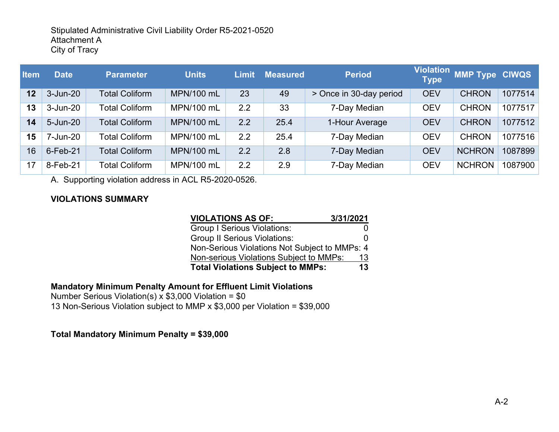| <b>Item</b> | <b>Date</b>  | <b>Parameter</b>      | <b>Units</b>      | Limit | <b>Measured</b> | <b>Period</b>           | <b>Violation</b><br><b>Type</b> | <b>MMP Type CIWQS</b> |         |
|-------------|--------------|-----------------------|-------------------|-------|-----------------|-------------------------|---------------------------------|-----------------------|---------|
| 12          | $3 - Jun-20$ | <b>Total Coliform</b> | <b>MPN/100 mL</b> | 23    | 49              | > Once in 30-day period | <b>OEV</b>                      | <b>CHRON</b>          | 1077514 |
| 13          | $3 - Jun-20$ | Total Coliform        | MPN/100 mL        | 2.2   | 33              | 7-Day Median            | <b>OEV</b>                      | <b>CHRON</b>          | 1077517 |
| 14          | 5-Jun-20     | <b>Total Coliform</b> | <b>MPN/100 mL</b> | 2.2   | 25.4            | 1-Hour Average          | <b>OEV</b>                      | <b>CHRON</b>          | 1077512 |
| 15          | 7-Jun-20     | <b>Total Coliform</b> | MPN/100 mL        | 2.2   | 25.4            | 7-Day Median            | <b>OEV</b>                      | <b>CHRON</b>          | 1077516 |
| 16          | $6$ -Feb-21  | <b>Total Coliform</b> | <b>MPN/100 mL</b> | 2.2   | 2.8             | 7-Day Median            | <b>OEV</b>                      | <b>NCHRON</b>         | 1087899 |
| 17          | 8-Feb-21     | <b>Total Coliform</b> | MPN/100 mL        | 2.2   | 2.9             | 7-Day Median            | <b>OEV</b>                      | <b>NCHRON</b>         | 1087900 |

A. Supporting violation address in ACL R5-2020-0526.

# **VIOLATIONS SUMMARY**

| <b>VIOLATIONS AS OF:</b>                       | 3/31/2021 |  |  |  |
|------------------------------------------------|-----------|--|--|--|
| <b>Group I Serious Violations:</b>             |           |  |  |  |
| <b>Group II Serious Violations:</b>            | O         |  |  |  |
| Non-Serious Violations Not Subject to MMPs: 4  |           |  |  |  |
| Non-serious Violations Subject to MMPs:        | 13        |  |  |  |
| 13<br><b>Total Violations Subject to MMPs:</b> |           |  |  |  |

# **Mandatory Minimum Penalty Amount for Effluent Limit Violations**

Number Serious Violation(s) x  $$3,000$  Violation =  $$0$ 13 Non-Serious Violation subject to MMP x \$3,000 per Violation = \$39,000

# **Total Mandatory Minimum Penalty = \$39,000**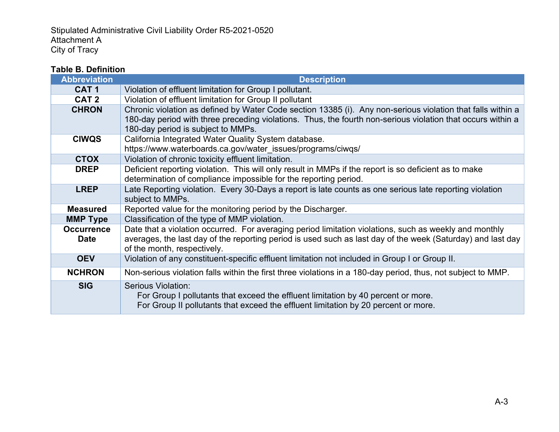# **Table B. Definition**

| <b>Abbreviation</b>                                                                                                         | <b>Description</b>                                                                                           |  |  |  |  |
|-----------------------------------------------------------------------------------------------------------------------------|--------------------------------------------------------------------------------------------------------------|--|--|--|--|
| CAT <sub>1</sub>                                                                                                            | Violation of effluent limitation for Group I pollutant.                                                      |  |  |  |  |
| CAT <sub>2</sub>                                                                                                            | Violation of effluent limitation for Group II pollutant                                                      |  |  |  |  |
| <b>CHRON</b>                                                                                                                | Chronic violation as defined by Water Code section 13385 (i). Any non-serious violation that falls within a  |  |  |  |  |
|                                                                                                                             | 180-day period with three preceding violations. Thus, the fourth non-serious violation that occurs within a  |  |  |  |  |
|                                                                                                                             | 180-day period is subject to MMPs.                                                                           |  |  |  |  |
| <b>CIWQS</b>                                                                                                                | California Integrated Water Quality System database.                                                         |  |  |  |  |
|                                                                                                                             | https://www.waterboards.ca.gov/water_issues/programs/ciwqs/                                                  |  |  |  |  |
| <b>CTOX</b>                                                                                                                 | Violation of chronic toxicity effluent limitation.                                                           |  |  |  |  |
| Deficient reporting violation. This will only result in MMPs if the report is so deficient as to make<br><b>DREP</b>        |                                                                                                              |  |  |  |  |
|                                                                                                                             | determination of compliance impossible for the reporting period.                                             |  |  |  |  |
| <b>LREP</b>                                                                                                                 | Late Reporting violation. Every 30-Days a report is late counts as one serious late reporting violation      |  |  |  |  |
|                                                                                                                             | subject to MMPs.                                                                                             |  |  |  |  |
| <b>Measured</b>                                                                                                             | Reported value for the monitoring period by the Discharger.                                                  |  |  |  |  |
| <b>MMP Type</b>                                                                                                             | Classification of the type of MMP violation.                                                                 |  |  |  |  |
| Date that a violation occurred. For averaging period limitation violations, such as weekly and monthly<br><b>Occurrence</b> |                                                                                                              |  |  |  |  |
| <b>Date</b>                                                                                                                 | averages, the last day of the reporting period is used such as last day of the week (Saturday) and last day  |  |  |  |  |
|                                                                                                                             | of the month, respectively.                                                                                  |  |  |  |  |
| <b>OEV</b>                                                                                                                  | Violation of any constituent-specific effluent limitation not included in Group I or Group II.               |  |  |  |  |
| <b>NCHRON</b>                                                                                                               | Non-serious violation falls within the first three violations in a 180-day period, thus, not subject to MMP. |  |  |  |  |
| <b>SIG</b>                                                                                                                  | <b>Serious Violation:</b>                                                                                    |  |  |  |  |
|                                                                                                                             | For Group I pollutants that exceed the effluent limitation by 40 percent or more.                            |  |  |  |  |
|                                                                                                                             | For Group II pollutants that exceed the effluent limitation by 20 percent or more.                           |  |  |  |  |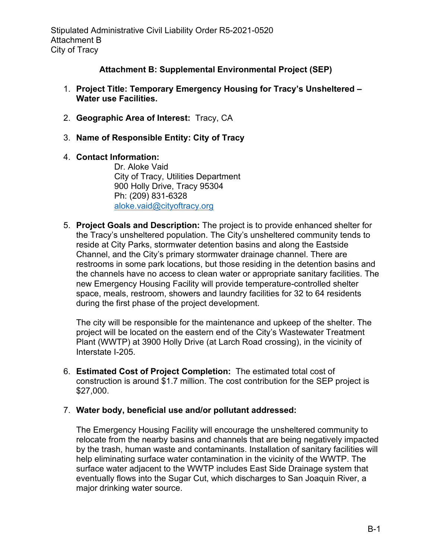# **Attachment B: Supplemental Environmental Project (SEP)**

- 1. **Project Title: Temporary Emergency Housing for Tracy's Unsheltered – Water use Facilities.**
- 2. **Geographic Area of Interest:** Tracy, CA
- 3. **Name of Responsible Entity: City of Tracy**

# 4. **Contact Information:**

Dr. Aloke Vaid City of Tracy, Utilities Department 900 Holly Drive, Tracy 95304 Ph: (209) 831-6328 [aloke.vaid@cityoftracy.org](mailto:aloke.vaid@cityoftracy.org)

5. **Project Goals and Description:** The project is to provide enhanced shelter for the Tracy's unsheltered population. The City's unsheltered community tends to reside at City Parks, stormwater detention basins and along the Eastside Channel, and the City's primary stormwater drainage channel. There are restrooms in some park locations, but those residing in the detention basins and the channels have no access to clean water or appropriate sanitary facilities. The new Emergency Housing Facility will provide temperature-controlled shelter space, meals, restroom, showers and laundry facilities for 32 to 64 residents during the first phase of the project development.

The city will be responsible for the maintenance and upkeep of the shelter. The project will be located on the eastern end of the City's Wastewater Treatment Plant (WWTP) at 3900 Holly Drive (at Larch Road crossing), in the vicinity of Interstate I-205.

6. **Estimated Cost of Project Completion:** The estimated total cost of construction is around \$1.7 million. The cost contribution for the SEP project is \$27,000.

# 7. **Water body, beneficial use and/or pollutant addressed:**

The Emergency Housing Facility will encourage the unsheltered community to relocate from the nearby basins and channels that are being negatively impacted by the trash, human waste and contaminants. Installation of sanitary facilities will help eliminating surface water contamination in the vicinity of the WWTP. The surface water adjacent to the WWTP includes East Side Drainage system that eventually flows into the Sugar Cut, which discharges to San Joaquin River, a major drinking water source.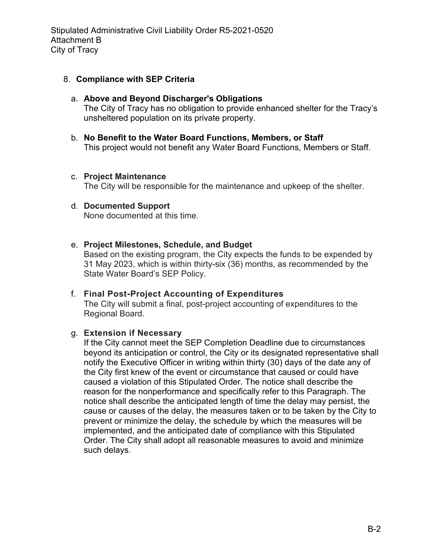Stipulated Administrative Civil Liability Order R5-2021-0520 Attachment B City of Tracy

#### 8. **Compliance with SEP Criteria**

#### a. **Above and Beyond Discharger's Obligations** The City of Tracy has no obligation to provide enhanced shelter for the Tracy's unsheltered population on its private property.

b. **No Benefit to the Water Board Functions, Members, or Staff** This project would not benefit any Water Board Functions, Members or Staff.

#### c. **Project Maintenance**

The City will be responsible for the maintenance and upkeep of the shelter.

#### d. **Documented Support**

None documented at this time.

#### e. **Project Milestones, Schedule, and Budget**

Based on the existing program, the City expects the funds to be expended by 31 May 2023, which is within thirty-six (36) months, as recommended by the State Water Board's SEP Policy.

## f. **Final Post-Project Accounting of Expenditures**

The City will submit a final, post-project accounting of expenditures to the Regional Board.

#### g. **Extension if Necessary**

If the City cannot meet the SEP Completion Deadline due to circumstances beyond its anticipation or control, the City or its designated representative shall notify the Executive Officer in writing within thirty (30) days of the date any of the City first knew of the event or circumstance that caused or could have caused a violation of this Stipulated Order. The notice shall describe the reason for the nonperformance and specifically refer to this Paragraph. The notice shall describe the anticipated length of time the delay may persist, the cause or causes of the delay, the measures taken or to be taken by the City to prevent or minimize the delay, the schedule by which the measures will be implemented, and the anticipated date of compliance with this Stipulated Order. The City shall adopt all reasonable measures to avoid and minimize such delays.